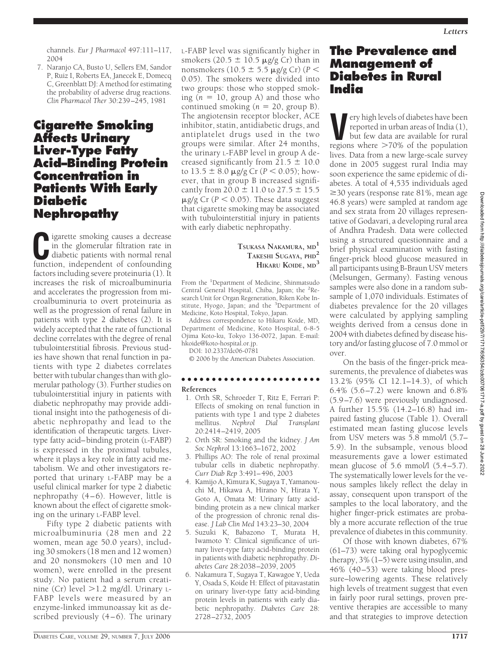channels. *Eur J Pharmacol* 497:111–117, 2004

7. Naranjo CA, Busto U, Sellers EM, Sandor P, Ruiz I, Roberts EA, Janecek E, Domecq C, Greenblatt DJ: A method for estimating the probability of adverse drug reactions. *Clin Pharmacol Ther* 30:239–245, 1981

### **Cigarette Smoking Affects Urinary Liver-Type Fatty Acid–Binding Protein Concentration in Patients With Early Diabetic Nephropathy**

**C**igarette smoking causes a decrease in the glomerular filtration rate in diabetic patients with normal renal function, independent of confounding factors including severe proteinuria (1). It increases the risk of microalbuminuria and accelerates the progression from microalbuminuria to overt proteinuria as well as the progression of renal failure in patients with type 2 diabetes (2). It is widely accepted that the rate of functional decline correlates with the degree of renal tubulointerstitial fibrosis. Previous studies have shown that renal function in patients with type 2 diabetes correlates better with tubular changes than with glomerular pathology (3). Further studies on tubulointerstitial injury in patients with diabetic nephropathy may provide additional insight into the pathogenesis of diabetic nephropathy and lead to the identification of therapeutic targets. Livertype fatty acid–binding protein (L-FABP) is expressed in the proximal tubules, where it plays a key role in fatty acid metabolism. We and other investigators reported that urinary L-FABP may be a useful clinical marker for type 2 diabetic nephropathy (4–6). However, little is known about the effect of cigarette smoking on the urinary L-FABP level.

Fifty type 2 diabetic patients with microalbuminuria (28 men and 22 women, mean age 50.0 years), including 30 smokers (18 men and 12 women) and 20 nonsmokers (10 men and 10 women), were enrolled in the present study. No patient had a serum creatinine (Cr) level  $>1.2$  mg/dl. Urinary L-FABP levels were measured by an enzyme-linked immunoassay kit as described previously  $(4-6)$ . The urinary L-FABP level was significantly higher in smokers (20.5  $\pm$  10.5  $\mu$ g/g Cr) than in nonsmokers (10.5  $\pm$  5.5 µg/g Cr) (P < 0.05). The smokers were divided into two groups: those who stopped smoking  $(n = 10, \text{ group A})$  and those who continued smoking  $(n = 20$ , group B). The angiotensin receptor blocker, ACE inhibitor, statin, antidiabetic drugs, and antiplatelet drugs used in the two groups were similar. After 24 months, the urinary L-FABP level in group A decreased significantly from  $21.5 \pm 10.0$ to  $13.5 \pm 8.0$   $\mu$ g/g Cr ( $P < 0.05$ ); however, that in group B increased significantly from  $20.0 \pm 11.0$  to  $27.5 \pm 15.5$  $\mu$ g/g Cr ( $P < 0.05$ ). These data suggest that cigarette smoking may be associated with tubulointerstitial injury in patients with early diabetic nephropathy.

#### **TSUKASA NAKAMURA, MD<sup>1</sup> TAKESHI SUGAYA, PHD<sup>2</sup> HIKARU KOIDE, MD<sup>3</sup>**

From the <sup>1</sup>Department of Medicine, Shinmatsudo Central General Hospital, Chiba, Japan; the <sup>2</sup>Research Unit for Organ Regeneration, Riken Kobe Institute, Hyogo, Japan; and the <sup>3</sup>Department of Medicine, Koto Hospital, Tokyo, Japan.

Address correspondence to Hikaru Koide, MD, Department of Medicine, Koto Hospital, 6-8-5 Ojima Koto-ku, Tokyo 136-0072, Japan. E-mail: hkoide@koto-hospital.or.jp.

DOI: 10.2337/dc06-0781

© 2006 by the American Diabetes Association.

#### ●●●●●●●●●●●●●●●●●●●●●●● **References**

- 1. Orth SR, Schroeder T, Ritz E, Ferrari P: Effects of smoking on renal function in patients with type 1 and type 2 diabetes<br>mellitus. Nephrol Dial Transplant mellitus. *Nephrol Dial Transplant* 20:2414–2419, 2005
- 2. Orth SR: Smoking and the kidney. *J Am Soc Nephrol* 13:1663–1672, 2002
- 3. Phillips AO: The role of renal proximal tubular cells in diabetic nephropathy. *Curr Diab Rep* 3:491–496, 2003
- 4. Kamijo A, Kimura K, Sugaya T, Yamanouchi M, Hikawa A, Hirano N, Hirata Y, Goto A, Omata M: Urinary fatty acidbinding protein as a new clinical marker of the progression of chronic renal disease. *J Lab Clin Med* 143:23–30, 2004
- 5. Suzuki K, Babazono T, Murata H, Iwamoto Y: Clinical significance of urinary liver-type fatty acid-binding protein in patients with diabetic nephropathy. *Diabetes Care* 28:2038–2039, 2005
- 6. Nakamura T, Sugaya T, Kawagoe Y, Ueda Y, Osada S, Koide H: Effect of pitavastatin on urinary liver-type fatty acid-binding protein levels in patients with early diabetic nephropathy. *Diabetes Care* 28: 2728–2732, 2005

## **The Prevalence and Management of Diabetes in Rural India**

Example 1 events of diabetes have been<br>reported in urban areas of India (1),<br>but few data are available for rural<br>regions where  $>70\%$  of the nonulation reported in urban areas of India (1), but few data are available for rural regions where  $>70\%$  of the population lives. Data from a new large-scale survey done in 2005 suggest rural India may soon experience the same epidemic of diabetes. A total of 4,535 individuals aged  $\geq$ 30 years (response rate 81%, mean age 46.8 years) were sampled at random age and sex strata from 20 villages representative of Godavari, a developing rural area of Andhra Pradesh. Data were collected using a structured questionnaire and a brief physical examination with fasting finger-prick blood glucose measured in all participants using B-Braun USV meters (Melsungen, Germany). Fasting venous samples were also done in a random subsample of 1,070 individuals. Estimates of diabetes prevalence for the 20 villages were calculated by applying sampling weights derived from a census done in 2004 with diabetes defined by disease history and/or fasting glucose of 7.0 mmol or over.

On the basis of the finger-prick measurements, the prevalence of diabetes was 13.2% (95% CI 12.1–14.3), of which 6.4% (5.6–7.2) were known and 6.8% (5.9–7.6) were previously undiagnosed. A further 15.5% (14.2–16.8) had impaired fasting glucose (Table 1). Overall estimated mean fasting glucose levels from USV meters was 5.8 mmol/l (5.7– 5.9). In the subsample, venous blood measurements gave a lower estimated mean glucose of 5.6 mmol/l  $(5.4–5.7)$ . The systematically lower levels for the venous samples likely reflect the delay in assay, consequent upon transport of the samples to the local laboratory, and the higher finger-prick estimates are probably a more accurate reflection of the true prevalence of diabetes in this community.

Of those with known diabetes, 67% (61–73) were taking oral hypoglycemic therapy, 3% (1–5) were using insulin, and 46% (40–53) were taking blood pressure–lowering agents. These relatively high levels of treatment suggest that even in fairly poor rural settings, proven preventive therapies are accessible to many and that strategies to improve detection